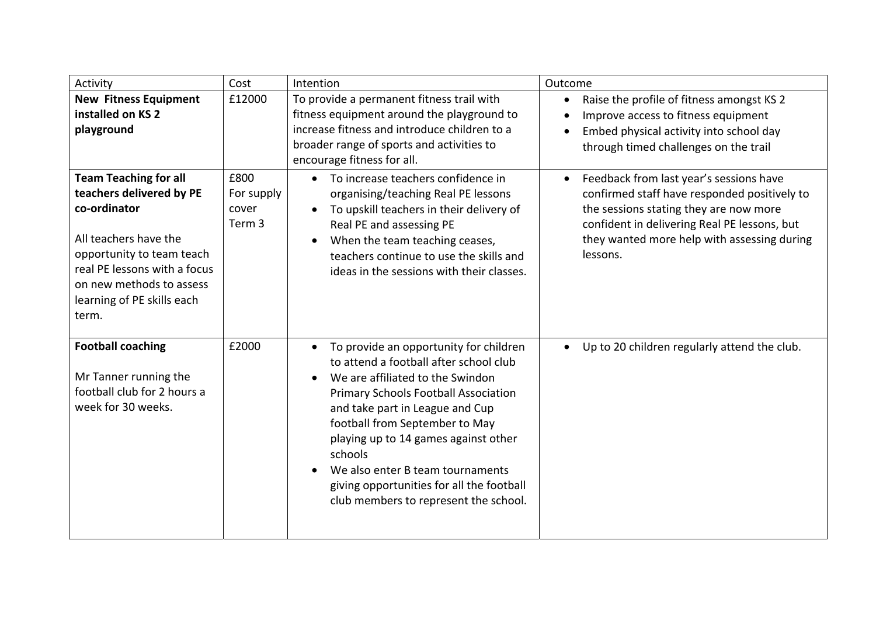| Activity                                                                                                                                                                                                                          | Cost                                  | Intention                                                                                                                                                                                                                                                                                                                                                                                                      | Outcome                                                                                                                                                                                                                                                   |
|-----------------------------------------------------------------------------------------------------------------------------------------------------------------------------------------------------------------------------------|---------------------------------------|----------------------------------------------------------------------------------------------------------------------------------------------------------------------------------------------------------------------------------------------------------------------------------------------------------------------------------------------------------------------------------------------------------------|-----------------------------------------------------------------------------------------------------------------------------------------------------------------------------------------------------------------------------------------------------------|
| <b>New Fitness Equipment</b><br>installed on KS 2<br>playground                                                                                                                                                                   | £12000                                | To provide a permanent fitness trail with<br>fitness equipment around the playground to<br>increase fitness and introduce children to a<br>broader range of sports and activities to<br>encourage fitness for all.                                                                                                                                                                                             | Raise the profile of fitness amongst KS 2<br>Improve access to fitness equipment<br>Embed physical activity into school day<br>through timed challenges on the trail                                                                                      |
| <b>Team Teaching for all</b><br>teachers delivered by PE<br>co-ordinator<br>All teachers have the<br>opportunity to team teach<br>real PE lessons with a focus<br>on new methods to assess<br>learning of PE skills each<br>term. | £800<br>For supply<br>cover<br>Term 3 | To increase teachers confidence in<br>$\bullet$<br>organising/teaching Real PE lessons<br>To upskill teachers in their delivery of<br>Real PE and assessing PE<br>When the team teaching ceases,<br>teachers continue to use the skills and<br>ideas in the sessions with their classes.                                                                                                                       | Feedback from last year's sessions have<br>$\bullet$<br>confirmed staff have responded positively to<br>the sessions stating they are now more<br>confident in delivering Real PE lessons, but<br>they wanted more help with assessing during<br>lessons. |
| <b>Football coaching</b><br>Mr Tanner running the<br>football club for 2 hours a<br>week for 30 weeks.                                                                                                                            | £2000                                 | To provide an opportunity for children<br>to attend a football after school club<br>We are affiliated to the Swindon<br>Primary Schools Football Association<br>and take part in League and Cup<br>football from September to May<br>playing up to 14 games against other<br>schools<br>We also enter B team tournaments<br>giving opportunities for all the football<br>club members to represent the school. | Up to 20 children regularly attend the club.<br>$\bullet$                                                                                                                                                                                                 |